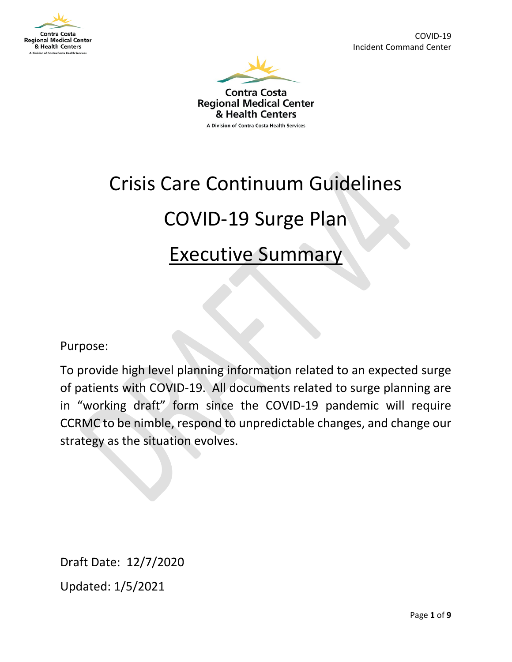

COVID-19 Incident Command Center



& Health Centers

#### A Division of Contra Costa Health Services

# Crisis Care Continuum Guidelines

## COVID-19 Surge Plan

## Executive Summary

Purpose:

To provide high level planning information related to an expected surge of patients with COVID-19. All documents related to surge planning are in "working draft" form since the COVID-19 pandemic will require CCRMC to be nimble, respond to unpredictable changes, and change our strategy as the situation evolves.

Draft Date: 12/7/2020 Updated: 1/5/2021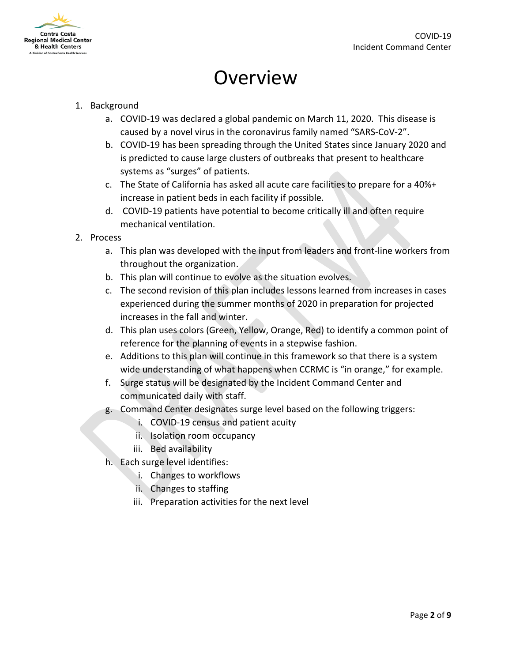

## Overview

### 1. Background

- a. COVID-19 was declared a global pandemic on March 11, 2020. This disease is caused by a novel virus in the coronavirus family named "SARS-CoV-2".
- b. COVID-19 has been spreading through the United States since January 2020 and is predicted to cause large clusters of outbreaks that present to healthcare systems as "surges" of patients.
- c. The State of California has asked all acute care facilities to prepare for a 40%+ increase in patient beds in each facility if possible.
- d. COVID-19 patients have potential to become critically ill and often require mechanical ventilation.
- 2. Process
	- a. This plan was developed with the input from leaders and front-line workers from throughout the organization.
	- b. This plan will continue to evolve as the situation evolves.
	- c. The second revision of this plan includes lessons learned from increases in cases experienced during the summer months of 2020 in preparation for projected increases in the fall and winter.
	- d. This plan uses colors (Green, Yellow, Orange, Red) to identify a common point of reference for the planning of events in a stepwise fashion.
	- e. Additions to this plan will continue in this framework so that there is a system wide understanding of what happens when CCRMC is "in orange," for example.
	- f. Surge status will be designated by the Incident Command Center and communicated daily with staff.
	- g. Command Center designates surge level based on the following triggers:
		- i. COVID-19 census and patient acuity
		- ii. Isolation room occupancy
		- iii. Bed availability
	- h. Each surge level identifies:
		- i. Changes to workflows
		- ii. Changes to staffing
		- iii. Preparation activities for the next level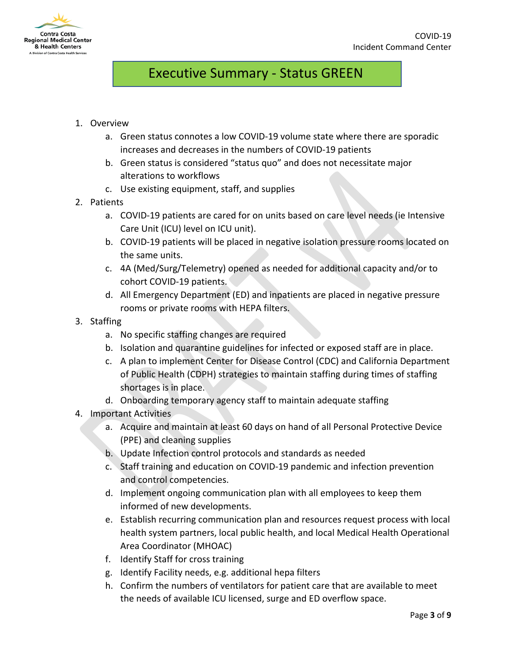

## Executive Summary - Status GREEN

#### 1. Overview

- a. Green status connotes a low COVID-19 volume state where there are sporadic increases and decreases in the numbers of COVID-19 patients
- b. Green status is considered "status quo" and does not necessitate major alterations to workflows
- c. Use existing equipment, staff, and supplies
- 2. Patients
	- a. COVID-19 patients are cared for on units based on care level needs (ie Intensive Care Unit (ICU) level on ICU unit).
	- b. COVID-19 patients will be placed in negative isolation pressure rooms located on the same units.
	- c. 4A (Med/Surg/Telemetry) opened as needed for additional capacity and/or to cohort COVID-19 patients.
	- d. All Emergency Department (ED) and inpatients are placed in negative pressure rooms or private rooms with HEPA filters.
- 3. Staffing
	- a. No specific staffing changes are required
	- b. Isolation and quarantine guidelines for infected or exposed staff are in place.
	- c. A plan to implement Center for Disease Control (CDC) and California Department of Public Health (CDPH) strategies to maintain staffing during times of staffing shortages is in place.
	- d. Onboarding temporary agency staff to maintain adequate staffing
- 4. Important Activities
	- a. Acquire and maintain at least 60 days on hand of all Personal Protective Device (PPE) and cleaning supplies
	- b. Update Infection control protocols and standards as needed
	- c. Staff training and education on COVID-19 pandemic and infection prevention and control competencies.
	- d. Implement ongoing communication plan with all employees to keep them informed of new developments.
	- e. Establish recurring communication plan and resources request process with local health system partners, local public health, and local Medical Health Operational Area Coordinator (MHOAC)
	- f. Identify Staff for cross training
	- g. Identify Facility needs, e.g. additional hepa filters
	- h. Confirm the numbers of ventilators for patient care that are available to meet the needs of available ICU licensed, surge and ED overflow space.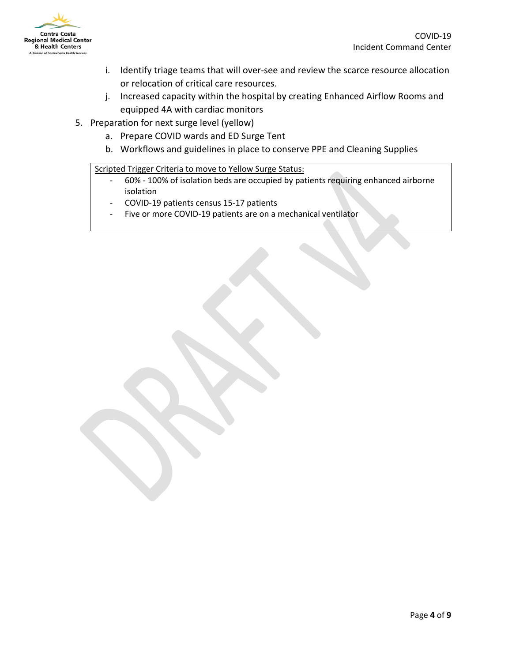

- i. Identify triage teams that will over-see and review the scarce resource allocation or relocation of critical care resources.
- j. Increased capacity within the hospital by creating Enhanced Airflow Rooms and equipped 4A with cardiac monitors
- 5. Preparation for next surge level (yellow)
	- a. Prepare COVID wards and ED Surge Tent
	- b. Workflows and guidelines in place to conserve PPE and Cleaning Supplies

Scripted Trigger Criteria to move to Yellow Surge Status:

- 60% 100% of isolation beds are occupied by patients requiring enhanced airborne isolation
- COVID-19 patients census 15-17 patients
- Five or more COVID-19 patients are on a mechanical ventilator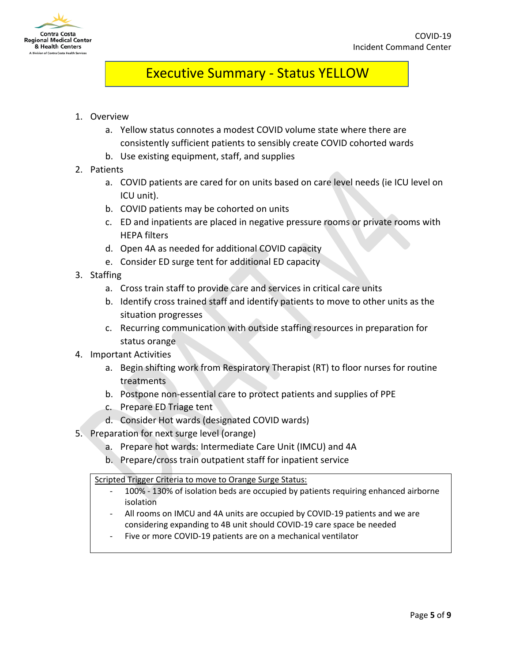

## Executive Summary - Status YELLOW

#### 1. Overview

- a. Yellow status connotes a modest COVID volume state where there are consistently sufficient patients to sensibly create COVID cohorted wards
- b. Use existing equipment, staff, and supplies
- 2. Patients
	- a. COVID patients are cared for on units based on care level needs (ie ICU level on ICU unit).
	- b. COVID patients may be cohorted on units
	- c. ED and inpatients are placed in negative pressure rooms or private rooms with HEPA filters
	- d. Open 4A as needed for additional COVID capacity
	- e. Consider ED surge tent for additional ED capacity
- 3. Staffing
	- a. Cross train staff to provide care and services in critical care units
	- b. Identify cross trained staff and identify patients to move to other units as the situation progresses
	- c. Recurring communication with outside staffing resources in preparation for status orange
- 4. Important Activities
	- a. Begin shifting work from Respiratory Therapist (RT) to floor nurses for routine treatments
	- b. Postpone non-essential care to protect patients and supplies of PPE
	- c. Prepare ED Triage tent
	- d. Consider Hot wards (designated COVID wards)
- 5. Preparation for next surge level (orange)
	- a. Prepare hot wards: Intermediate Care Unit (IMCU) and 4A
	- b. Prepare/cross train outpatient staff for inpatient service

Scripted Trigger Criteria to move to Orange Surge Status:

- 100% 130% of isolation beds are occupied by patients requiring enhanced airborne isolation
- All rooms on IMCU and 4A units are occupied by COVID-19 patients and we are considering expanding to 4B unit should COVID-19 care space be needed
- Five or more COVID-19 patients are on a mechanical ventilator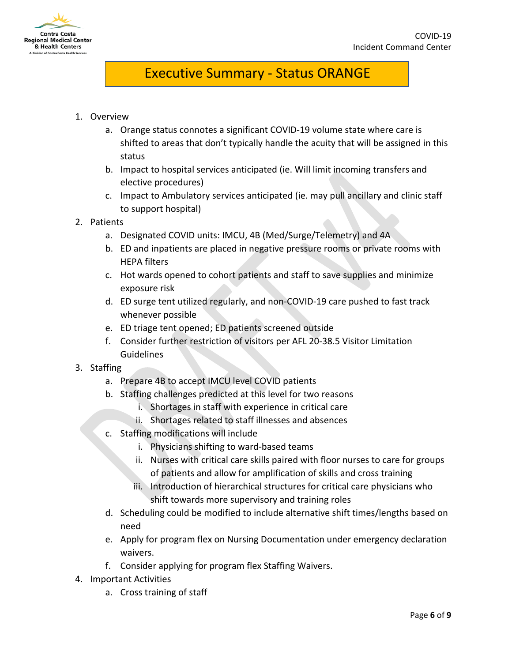

## Executive Summary - Status ORANGE

### 1. Overview

- a. Orange status connotes a significant COVID-19 volume state where care is shifted to areas that don't typically handle the acuity that will be assigned in this status
- b. Impact to hospital services anticipated (ie. Will limit incoming transfers and elective procedures)
- c. Impact to Ambulatory services anticipated (ie. may pull ancillary and clinic staff to support hospital)
- 2. Patients
	- a. Designated COVID units: IMCU, 4B (Med/Surge/Telemetry) and 4A
	- b. ED and inpatients are placed in negative pressure rooms or private rooms with HEPA filters
	- c. Hot wards opened to cohort patients and staff to save supplies and minimize exposure risk
	- d. ED surge tent utilized regularly, and non-COVID-19 care pushed to fast track whenever possible
	- e. ED triage tent opened; ED patients screened outside
	- f. Consider further restriction of visitors per AFL 20-38.5 Visitor Limitation Guidelines
- 3. Staffing
	- a. Prepare 4B to accept IMCU level COVID patients
	- b. Staffing challenges predicted at this level for two reasons
		- i. Shortages in staff with experience in critical care
		- ii. Shortages related to staff illnesses and absences
	- c. Staffing modifications will include
		- i. Physicians shifting to ward-based teams
		- ii. Nurses with critical care skills paired with floor nurses to care for groups of patients and allow for amplification of skills and cross training
		- iii. Introduction of hierarchical structures for critical care physicians who shift towards more supervisory and training roles
	- d. Scheduling could be modified to include alternative shift times/lengths based on need
	- e. Apply for program flex on Nursing Documentation under emergency declaration waivers.
	- f. Consider applying for program flex Staffing Waivers.
- 4. Important Activities
	- a. Cross training of staff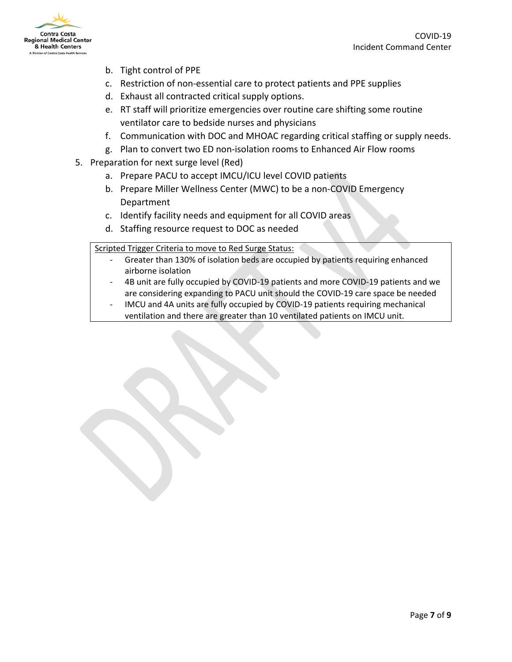

- b. Tight control of PPE
- c. Restriction of non-essential care to protect patients and PPE supplies
- d. Exhaust all contracted critical supply options.
- e. RT staff will prioritize emergencies over routine care shifting some routine ventilator care to bedside nurses and physicians
- f. Communication with DOC and MHOAC regarding critical staffing or supply needs.
- g. Plan to convert two ED non-isolation rooms to Enhanced Air Flow rooms
- 5. Preparation for next surge level (Red)
	- a. Prepare PACU to accept IMCU/ICU level COVID patients
	- b. Prepare Miller Wellness Center (MWC) to be a non-COVID Emergency Department
	- c. Identify facility needs and equipment for all COVID areas
	- d. Staffing resource request to DOC as needed

### Scripted Trigger Criteria to move to Red Surge Status:

- Greater than 130% of isolation beds are occupied by patients requiring enhanced airborne isolation
- 4B unit are fully occupied by COVID-19 patients and more COVID-19 patients and we are considering expanding to PACU unit should the COVID-19 care space be needed
- IMCU and 4A units are fully occupied by COVID-19 patients requiring mechanical ventilation and there are greater than 10 ventilated patients on IMCU unit.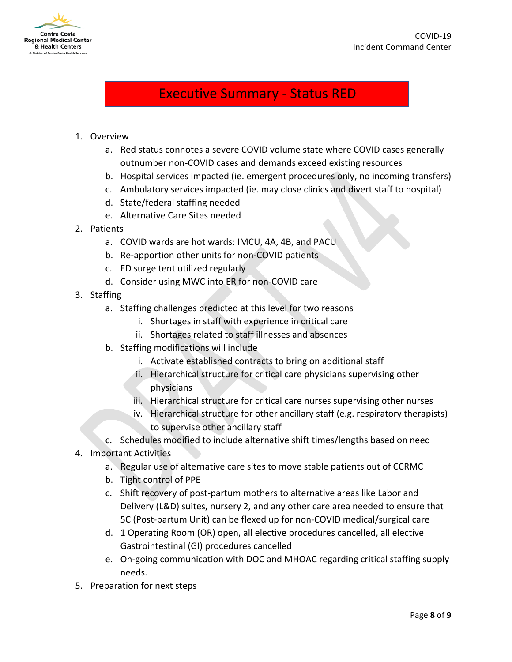

## Executive Summary - Status RED

### 1. Overview

- a. Red status connotes a severe COVID volume state where COVID cases generally outnumber non-COVID cases and demands exceed existing resources
- b. Hospital services impacted (ie. emergent procedures only, no incoming transfers)
- c. Ambulatory services impacted (ie. may close clinics and divert staff to hospital)
- d. State/federal staffing needed
- e. Alternative Care Sites needed
- 2. Patients
	- a. COVID wards are hot wards: IMCU, 4A, 4B, and PACU
	- b. Re-apportion other units for non-COVID patients
	- c. ED surge tent utilized regularly
	- d. Consider using MWC into ER for non-COVID care
- 3. Staffing
	- a. Staffing challenges predicted at this level for two reasons
		- i. Shortages in staff with experience in critical care
		- ii. Shortages related to staff illnesses and absences
	- b. Staffing modifications will include
		- i. Activate established contracts to bring on additional staff
		- ii. Hierarchical structure for critical care physicians supervising other physicians
		- iii. Hierarchical structure for critical care nurses supervising other nurses
		- iv. Hierarchical structure for other ancillary staff (e.g. respiratory therapists) to supervise other ancillary staff
	- c. Schedules modified to include alternative shift times/lengths based on need
- 4. Important Activities
	- a. Regular use of alternative care sites to move stable patients out of CCRMC
	- b. Tight control of PPE
	- c. Shift recovery of post-partum mothers to alternative areas like Labor and Delivery (L&D) suites, nursery 2, and any other care area needed to ensure that 5C (Post-partum Unit) can be flexed up for non-COVID medical/surgical care
	- d. 1 Operating Room (OR) open, all elective procedures cancelled, all elective Gastrointestinal (GI) procedures cancelled
	- e. On-going communication with DOC and MHOAC regarding critical staffing supply needs.
- 5. Preparation for next steps